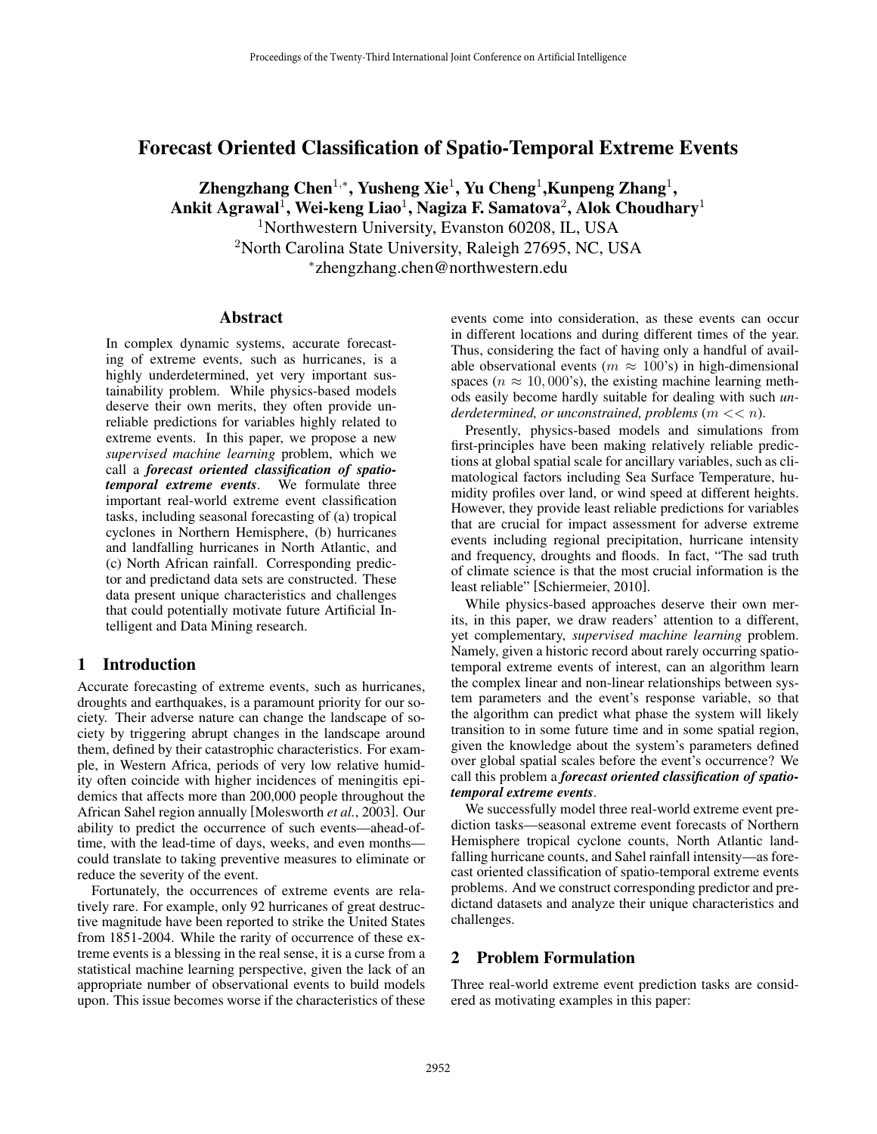# Forecast Oriented Classification of Spatio-Temporal Extreme Events

Zhengzhang Chen<sup>1,∗</sup>, Yusheng Xie<sup>1</sup>, Yu Cheng<sup>1</sup>, Kunpeng Zhang<sup>1</sup>, Ankit Agrawal<sup>1</sup>, Wei-keng Liao<sup>1</sup>, Nagiza F. Samatova<sup>2</sup>, Alok Choudhary<sup>1</sup> <sup>1</sup>Northwestern University, Evanston 60208, IL, USA <sup>2</sup>North Carolina State University, Raleigh 27695, NC, USA <sup>∗</sup>zhengzhang.chen@northwestern.edu

### Abstract

In complex dynamic systems, accurate forecasting of extreme events, such as hurricanes, is a highly underdetermined, yet very important sustainability problem. While physics-based models deserve their own merits, they often provide unreliable predictions for variables highly related to extreme events. In this paper, we propose a new *supervised machine learning* problem, which we call a *forecast oriented classification of spatiotemporal extreme events*. We formulate three important real-world extreme event classification tasks, including seasonal forecasting of (a) tropical cyclones in Northern Hemisphere, (b) hurricanes and landfalling hurricanes in North Atlantic, and (c) North African rainfall. Corresponding predictor and predictand data sets are constructed. These data present unique characteristics and challenges that could potentially motivate future Artificial Intelligent and Data Mining research.

## 1 Introduction

Accurate forecasting of extreme events, such as hurricanes, droughts and earthquakes, is a paramount priority for our society. Their adverse nature can change the landscape of society by triggering abrupt changes in the landscape around them, defined by their catastrophic characteristics. For example, in Western Africa, periods of very low relative humidity often coincide with higher incidences of meningitis epidemics that affects more than 200,000 people throughout the African Sahel region annually [Molesworth *et al.*, 2003]. Our ability to predict the occurrence of such events—ahead-oftime, with the lead-time of days, weeks, and even months could translate to taking preventive measures to eliminate or reduce the severity of the event.

Fortunately, the occurrences of extreme events are relatively rare. For example, only 92 hurricanes of great destructive magnitude have been reported to strike the United States from 1851-2004. While the rarity of occurrence of these extreme events is a blessing in the real sense, it is a curse from a statistical machine learning perspective, given the lack of an appropriate number of observational events to build models upon. This issue becomes worse if the characteristics of these events come into consideration, as these events can occur in different locations and during different times of the year. Thus, considering the fact of having only a handful of available observational events ( $m \approx 100$ 's) in high-dimensional spaces ( $n \approx 10,000$ 's), the existing machine learning methods easily become hardly suitable for dealing with such *underdetermined, or unconstrained, problems* (m << n).

Presently, physics-based models and simulations from first-principles have been making relatively reliable predictions at global spatial scale for ancillary variables, such as climatological factors including Sea Surface Temperature, humidity profiles over land, or wind speed at different heights. However, they provide least reliable predictions for variables that are crucial for impact assessment for adverse extreme events including regional precipitation, hurricane intensity and frequency, droughts and floods. In fact, "The sad truth of climate science is that the most crucial information is the least reliable" [Schiermeier, 2010].

While physics-based approaches deserve their own merits, in this paper, we draw readers' attention to a different, yet complementary, *supervised machine learning* problem. Namely, given a historic record about rarely occurring spatiotemporal extreme events of interest, can an algorithm learn the complex linear and non-linear relationships between system parameters and the event's response variable, so that the algorithm can predict what phase the system will likely transition to in some future time and in some spatial region, given the knowledge about the system's parameters defined over global spatial scales before the event's occurrence? We call this problem a *forecast oriented classification of spatiotemporal extreme events*.

We successfully model three real-world extreme event prediction tasks—seasonal extreme event forecasts of Northern Hemisphere tropical cyclone counts, North Atlantic landfalling hurricane counts, and Sahel rainfall intensity—as forecast oriented classification of spatio-temporal extreme events problems. And we construct corresponding predictor and predictand datasets and analyze their unique characteristics and challenges.

## 2 Problem Formulation

Three real-world extreme event prediction tasks are considered as motivating examples in this paper: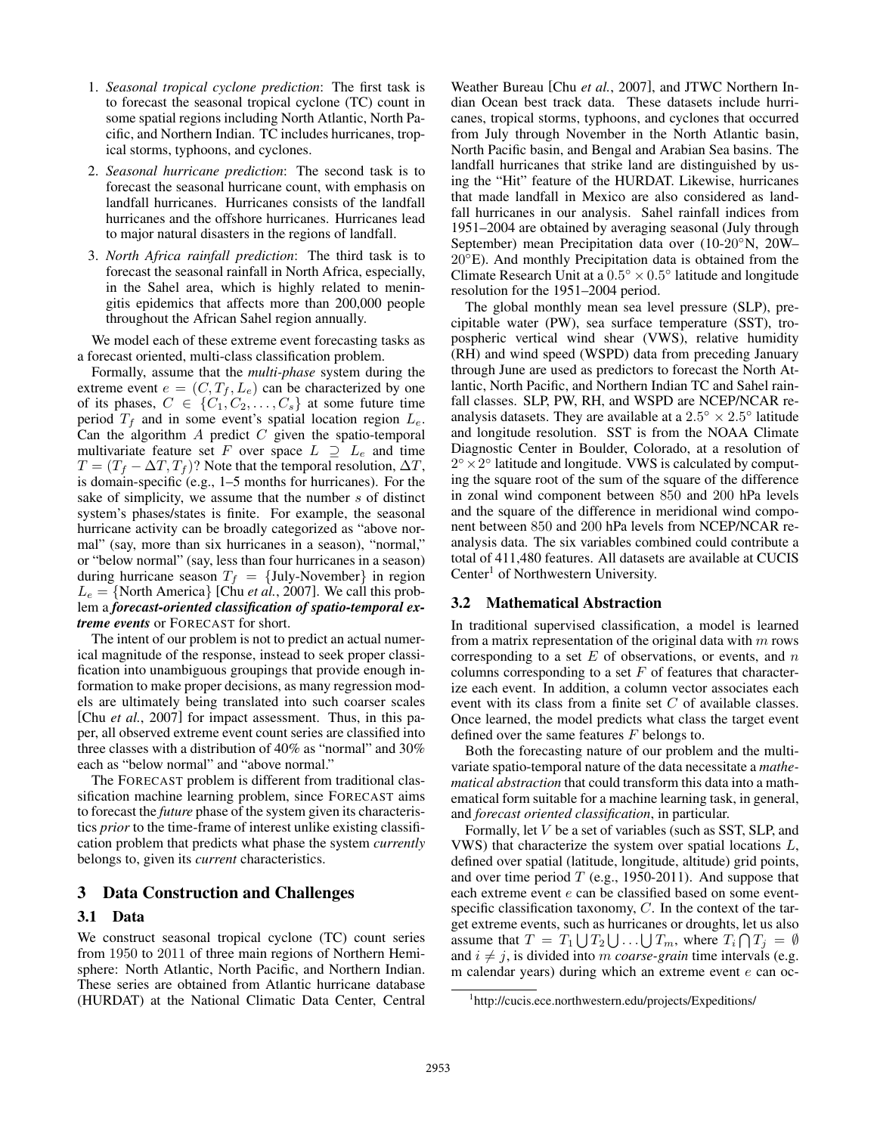- 1. *Seasonal tropical cyclone prediction*: The first task is to forecast the seasonal tropical cyclone (TC) count in some spatial regions including North Atlantic, North Pacific, and Northern Indian. TC includes hurricanes, tropical storms, typhoons, and cyclones.
- 2. *Seasonal hurricane prediction*: The second task is to forecast the seasonal hurricane count, with emphasis on landfall hurricanes. Hurricanes consists of the landfall hurricanes and the offshore hurricanes. Hurricanes lead to major natural disasters in the regions of landfall.
- 3. *North Africa rainfall prediction*: The third task is to forecast the seasonal rainfall in North Africa, especially, in the Sahel area, which is highly related to meningitis epidemics that affects more than 200,000 people throughout the African Sahel region annually.

We model each of these extreme event forecasting tasks as a forecast oriented, multi-class classification problem.

Formally, assume that the *multi-phase* system during the extreme event  $e = (C, T_f, L_e)$  can be characterized by one of its phases,  $C \in \{C_1, C_2, \ldots, C_s\}$  at some future time period  $T_f$  and in some event's spatial location region  $L_e$ . Can the algorithm  $A$  predict  $C$  given the spatio-temporal multivariate feature set F over space  $L \supseteq L_e$  and time  $T = (T_f - \Delta T, T_f)$ ? Note that the temporal resolution,  $\Delta T$ , is domain-specific (e.g., 1–5 months for hurricanes). For the sake of simplicity, we assume that the number s of distinct system's phases/states is finite. For example, the seasonal hurricane activity can be broadly categorized as "above normal" (say, more than six hurricanes in a season), "normal," or "below normal" (say, less than four hurricanes in a season) during hurricane season  $T_f$  = {July-November} in region  $L_e = \{$  North America $\}$  [Chu *et al.*, 2007]. We call this problem a *forecast-oriented classification of spatio-temporal extreme events* or FORECAST for short.

The intent of our problem is not to predict an actual numerical magnitude of the response, instead to seek proper classification into unambiguous groupings that provide enough information to make proper decisions, as many regression models are ultimately being translated into such coarser scales [Chu *et al.*, 2007] for impact assessment. Thus, in this paper, all observed extreme event count series are classified into three classes with a distribution of 40% as "normal" and 30% each as "below normal" and "above normal."

The FORECAST problem is different from traditional classification machine learning problem, since FORECAST aims to forecast the *future* phase of the system given its characteristics *prior* to the time-frame of interest unlike existing classification problem that predicts what phase the system *currently* belongs to, given its *current* characteristics.

## 3 Data Construction and Challenges

## 3.1 Data

We construct seasonal tropical cyclone (TC) count series from 1950 to 2011 of three main regions of Northern Hemisphere: North Atlantic, North Pacific, and Northern Indian. These series are obtained from Atlantic hurricane database (HURDAT) at the National Climatic Data Center, Central Weather Bureau [Chu *et al.*, 2007], and JTWC Northern Indian Ocean best track data. These datasets include hurricanes, tropical storms, typhoons, and cyclones that occurred from July through November in the North Atlantic basin, North Pacific basin, and Bengal and Arabian Sea basins. The landfall hurricanes that strike land are distinguished by using the "Hit" feature of the HURDAT. Likewise, hurricanes that made landfall in Mexico are also considered as landfall hurricanes in our analysis. Sahel rainfall indices from 1951–2004 are obtained by averaging seasonal (July through September) mean Precipitation data over (10-20◦N, 20W– 20◦E). And monthly Precipitation data is obtained from the Climate Research Unit at a  $0.5° \times 0.5°$  latitude and longitude resolution for the 1951–2004 period.

The global monthly mean sea level pressure (SLP), precipitable water (PW), sea surface temperature (SST), tropospheric vertical wind shear (VWS), relative humidity (RH) and wind speed (WSPD) data from preceding January through June are used as predictors to forecast the North Atlantic, North Pacific, and Northern Indian TC and Sahel rainfall classes. SLP, PW, RH, and WSPD are NCEP/NCAR reanalysis datasets. They are available at a  $2.5° \times 2.5°$  latitude and longitude resolution. SST is from the NOAA Climate Diagnostic Center in Boulder, Colorado, at a resolution of  $2^\circ \times 2^\circ$  latitude and longitude. VWS is calculated by computing the square root of the sum of the square of the difference in zonal wind component between 850 and 200 hPa levels and the square of the difference in meridional wind component between 850 and 200 hPa levels from NCEP/NCAR reanalysis data. The six variables combined could contribute a total of 411,480 features. All datasets are available at CUCIS Center<sup>1</sup> of Northwestern University.

#### 3.2 Mathematical Abstraction

In traditional supervised classification, a model is learned from a matrix representation of the original data with  $m$  rows corresponding to a set  $E$  of observations, or events, and  $n$ columns corresponding to a set  $F$  of features that characterize each event. In addition, a column vector associates each event with its class from a finite set  $C$  of available classes. Once learned, the model predicts what class the target event defined over the same features F belongs to.

Both the forecasting nature of our problem and the multivariate spatio-temporal nature of the data necessitate a *mathematical abstraction* that could transform this data into a mathematical form suitable for a machine learning task, in general, and *forecast oriented classification*, in particular.

Formally, let V be a set of variables (such as SST, SLP, and VWS) that characterize the system over spatial locations L, defined over spatial (latitude, longitude, altitude) grid points, and over time period  $T$  (e.g., 1950-2011). And suppose that each extreme event  $e$  can be classified based on some eventspecific classification taxonomy,  $C$ . In the context of the target extreme events, such as hurricanes or droughts, let us also assume that  $T = T_1 \bigcup T_2 \bigcup ... \bigcup T_m$ , where  $T_i \bigcap T_j = \emptyset$ and  $i \neq j$ , is divided into m *coarse-grain* time intervals (e.g. m calendar years) during which an extreme event  $e$  can oc-

<sup>1</sup> http://cucis.ece.northwestern.edu/projects/Expeditions/